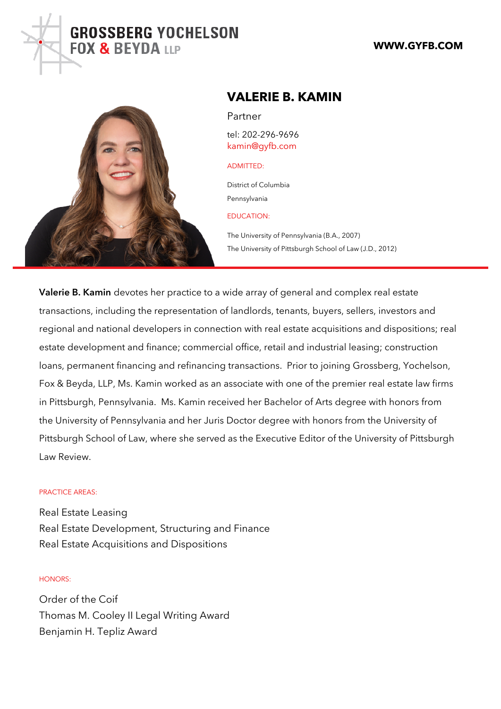# VALERIE B. KAMIN

## Partner

tel: 202-296-9696 [kamin@gyfb](mailto: kamin@gyfb.com).com

#### ADMITTED:

District of Columbia Pennsylvania

#### EDUCATION:

The University of Pennsylvania (B.A., 2007) The University of Pittsburgh School of Law (J.D., 2012)

Valerie B. Kamontes her practice to a wide array of general and comp transactions, including the representation of landlords, tenants, buy regional and national developers in connection with real estate acqu estate development and finance; commercial office, retail and indust loans, permanent financing and refinancing transactions. Prior to jo Fox & Beyda, LLP, Ms. Kamin worked as an associate with one of the in Pittsburgh, Pennsylvania. Ms. Kamin received her Bachelor of Ar the University of Pennsylvania and her Juris Doctor degree with hon Pittsburgh School of Law, where she served as the Executive Editor Law Review.

#### PRACTICE AREAS:

Real Estate Leasing Real Estate Development, Structuring and Finance Real Estate Acquisitions and Dispositions

### HONORS:

Order of the Coif Thomas M. Cooley II Legal Writing Award Benjamin H. Tepliz Award